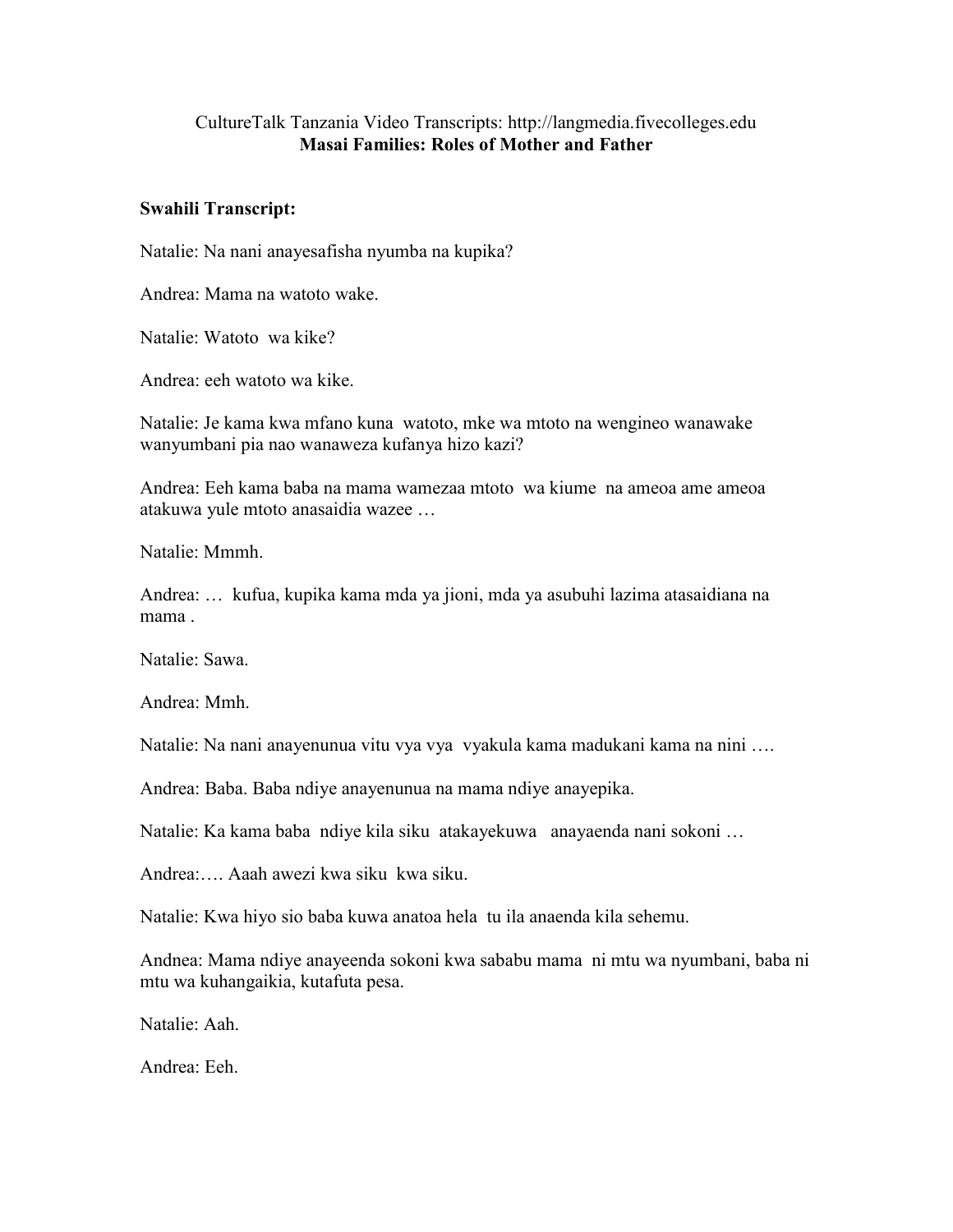## CultureTalk Tanzania Video Transcripts: http://langmedia.fivecolleges.edu Masai Families: Roles of Mother and Father

## Swahili Transcript:

Natalie: Na nani anayesafisha nyumba na kupika?

Andrea: Mama na watoto wake.

Natalie: Watoto wa kike?

Andrea: eeh watoto wa kike.

Natalie: Je kama kwa mfano kuna watoto, mke wa mtoto na wengineo wanawake wanyumbani pia nao wanaweza kufanya hizo kazi?

Andrea: Eeh kama baba na mama wamezaa mtoto wa kiume na ameoa ame ameoa atakuwa yule mtoto anasaidia wazee …

Natalie: Mmmh.

Andrea: … kufua, kupika kama mda ya jioni, mda ya asubuhi lazima atasaidiana na mama .

Natalie: Sawa.

Andrea: Mmh.

Natalie: Na nani anayenunua vitu vya vya vyakula kama madukani kama na nini ….

Andrea: Baba. Baba ndiye anayenunua na mama ndiye anayepika.

Natalie: Ka kama baba ndiye kila siku atakayekuwa anayaenda nani sokoni …

Andrea:…. Aaah awezi kwa siku kwa siku.

Natalie: Kwa hiyo sio baba kuwa anatoa hela tu ila anaenda kila sehemu.

Andnea: Mama ndiye anayeenda sokoni kwa sababu mama ni mtu wa nyumbani, baba ni mtu wa kuhangaikia, kutafuta pesa.

Natalie: Aah.

Andrea: Eeh.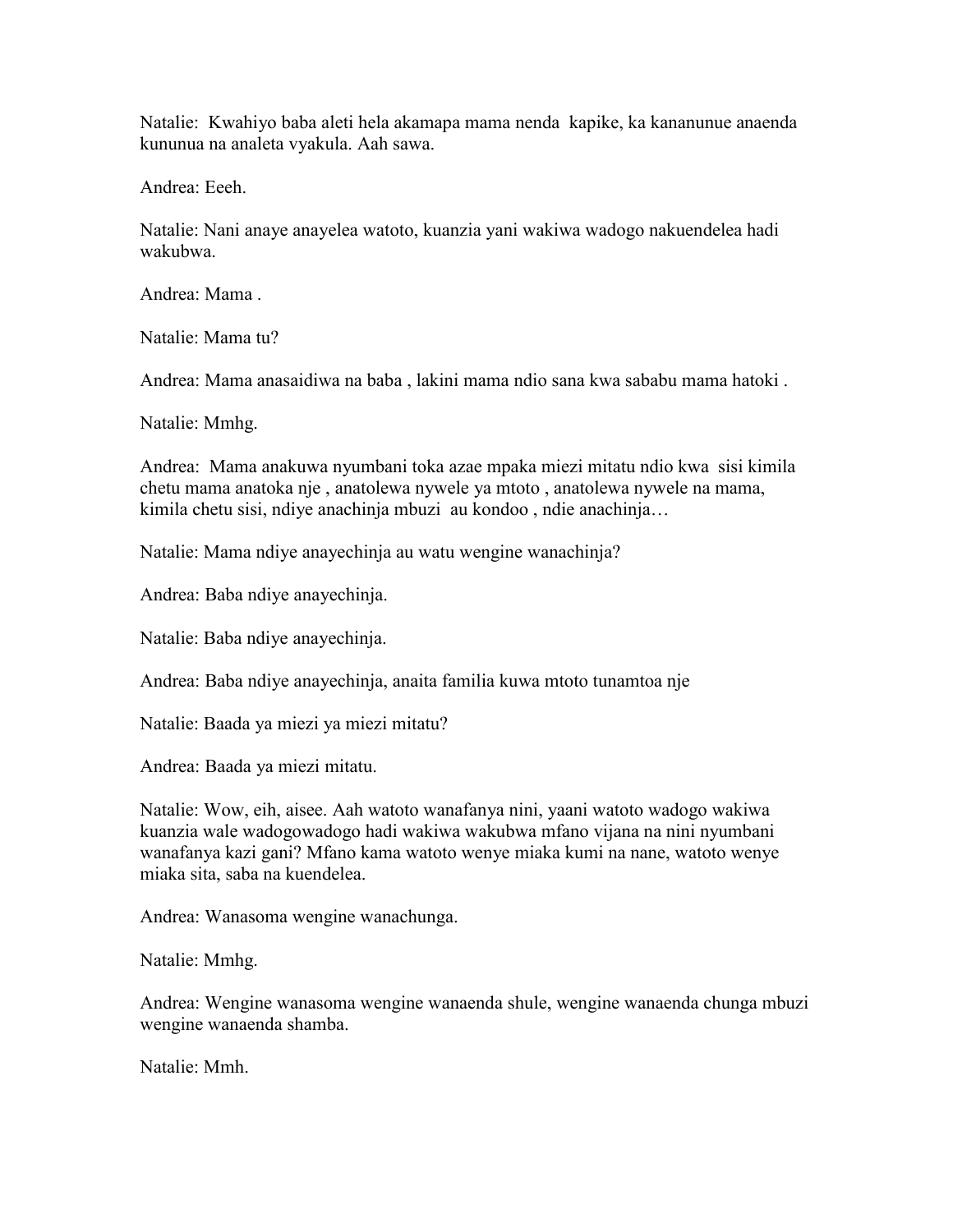Natalie: Kwahiyo baba aleti hela akamapa mama nenda kapike, ka kananunue anaenda kununua na analeta vyakula. Aah sawa.

Andrea: Eeeh.

Natalie: Nani anaye anayelea watoto, kuanzia yani wakiwa wadogo nakuendelea hadi wakubwa.

Andrea: Mama .

Natalie: Mama tu?

Andrea: Mama anasaidiwa na baba , lakini mama ndio sana kwa sababu mama hatoki .

Natalie: Mmhg.

Andrea: Mama anakuwa nyumbani toka azae mpaka miezi mitatu ndio kwa sisi kimila chetu mama anatoka nje , anatolewa nywele ya mtoto , anatolewa nywele na mama, kimila chetu sisi, ndiye anachinja mbuzi au kondoo , ndie anachinja…

Natalie: Mama ndiye anayechinja au watu wengine wanachinja?

Andrea: Baba ndiye anayechinja.

Natalie: Baba ndiye anayechinja.

Andrea: Baba ndiye anayechinja, anaita familia kuwa mtoto tunamtoa nje

Natalie: Baada ya miezi ya miezi mitatu?

Andrea: Baada ya miezi mitatu.

Natalie: Wow, eih, aisee. Aah watoto wanafanya nini, yaani watoto wadogo wakiwa kuanzia wale wadogowadogo hadi wakiwa wakubwa mfano vijana na nini nyumbani wanafanya kazi gani? Mfano kama watoto wenye miaka kumi na nane, watoto wenye miaka sita, saba na kuendelea.

Andrea: Wanasoma wengine wanachunga.

Natalie: Mmhg.

Andrea: Wengine wanasoma wengine wanaenda shule, wengine wanaenda chunga mbuzi wengine wanaenda shamba.

Natalie: Mmh.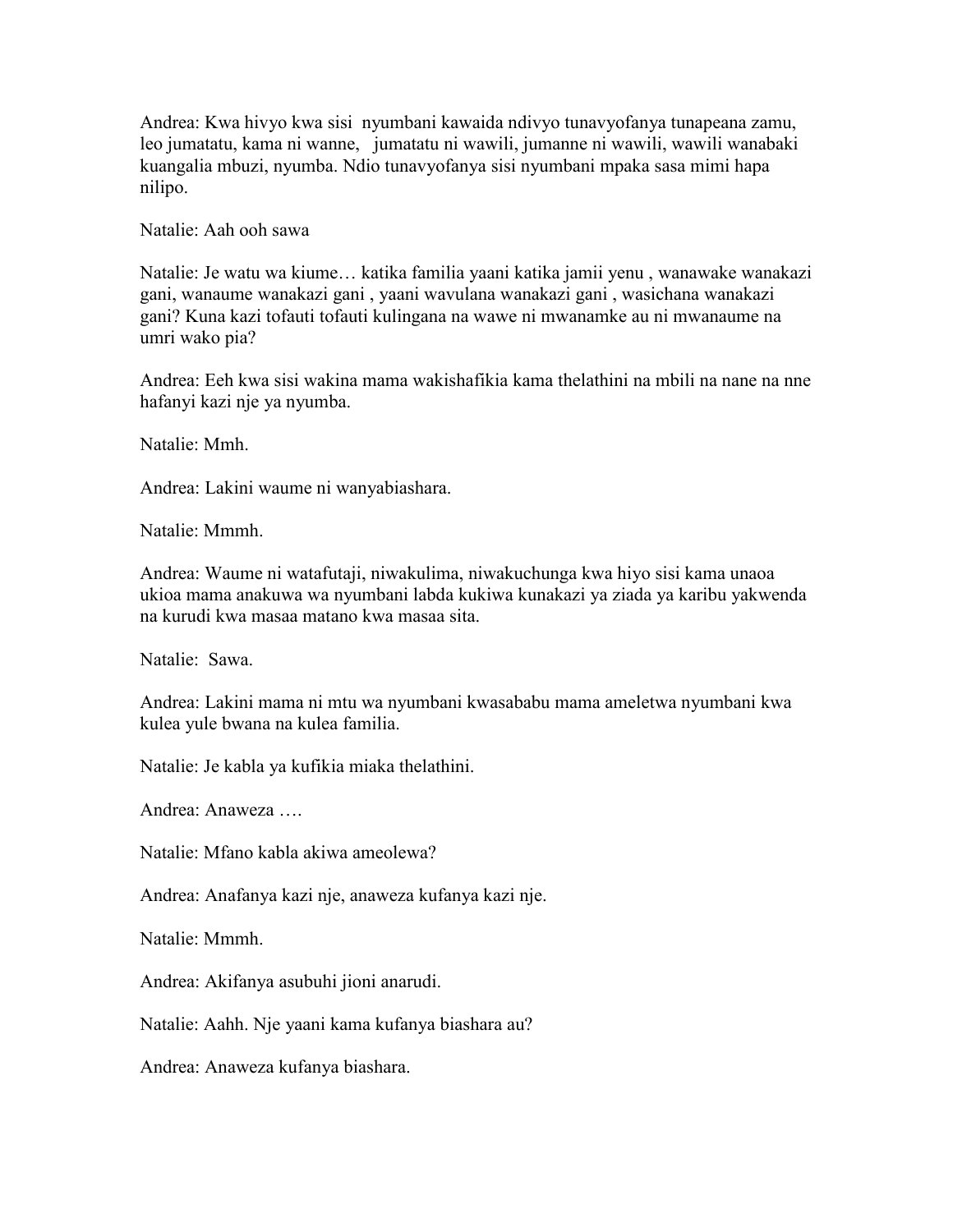Andrea: Kwa hivyo kwa sisi nyumbani kawaida ndivyo tunavyofanya tunapeana zamu, leo jumatatu, kama ni wanne, jumatatu ni wawili, jumanne ni wawili, wawili wanabaki kuangalia mbuzi, nyumba. Ndio tunavyofanya sisi nyumbani mpaka sasa mimi hapa nilipo.

Natalie: Aah ooh sawa

Natalie: Je watu wa kiume… katika familia yaani katika jamii yenu , wanawake wanakazi gani, wanaume wanakazi gani , yaani wavulana wanakazi gani , wasichana wanakazi gani? Kuna kazi tofauti tofauti kulingana na wawe ni mwanamke au ni mwanaume na umri wako pia?

Andrea: Eeh kwa sisi wakina mama wakishafikia kama thelathini na mbili na nane na nne hafanyi kazi nje ya nyumba.

Natalie: Mmh.

Andrea: Lakini waume ni wanyabiashara.

Natalie: Mmmh.

Andrea: Waume ni watafutaji, niwakulima, niwakuchunga kwa hiyo sisi kama unaoa ukioa mama anakuwa wa nyumbani labda kukiwa kunakazi ya ziada ya karibu yakwenda na kurudi kwa masaa matano kwa masaa sita.

Natalie: Sawa.

Andrea: Lakini mama ni mtu wa nyumbani kwasababu mama ameletwa nyumbani kwa kulea yule bwana na kulea familia.

Natalie: Je kabla ya kufikia miaka thelathini.

Andrea: Anaweza ….

Natalie: Mfano kabla akiwa ameolewa?

Andrea: Anafanya kazi nje, anaweza kufanya kazi nje.

Natalie: Mmmh.

Andrea: Akifanya asubuhi jioni anarudi.

Natalie: Aahh. Nje yaani kama kufanya biashara au?

Andrea: Anaweza kufanya biashara.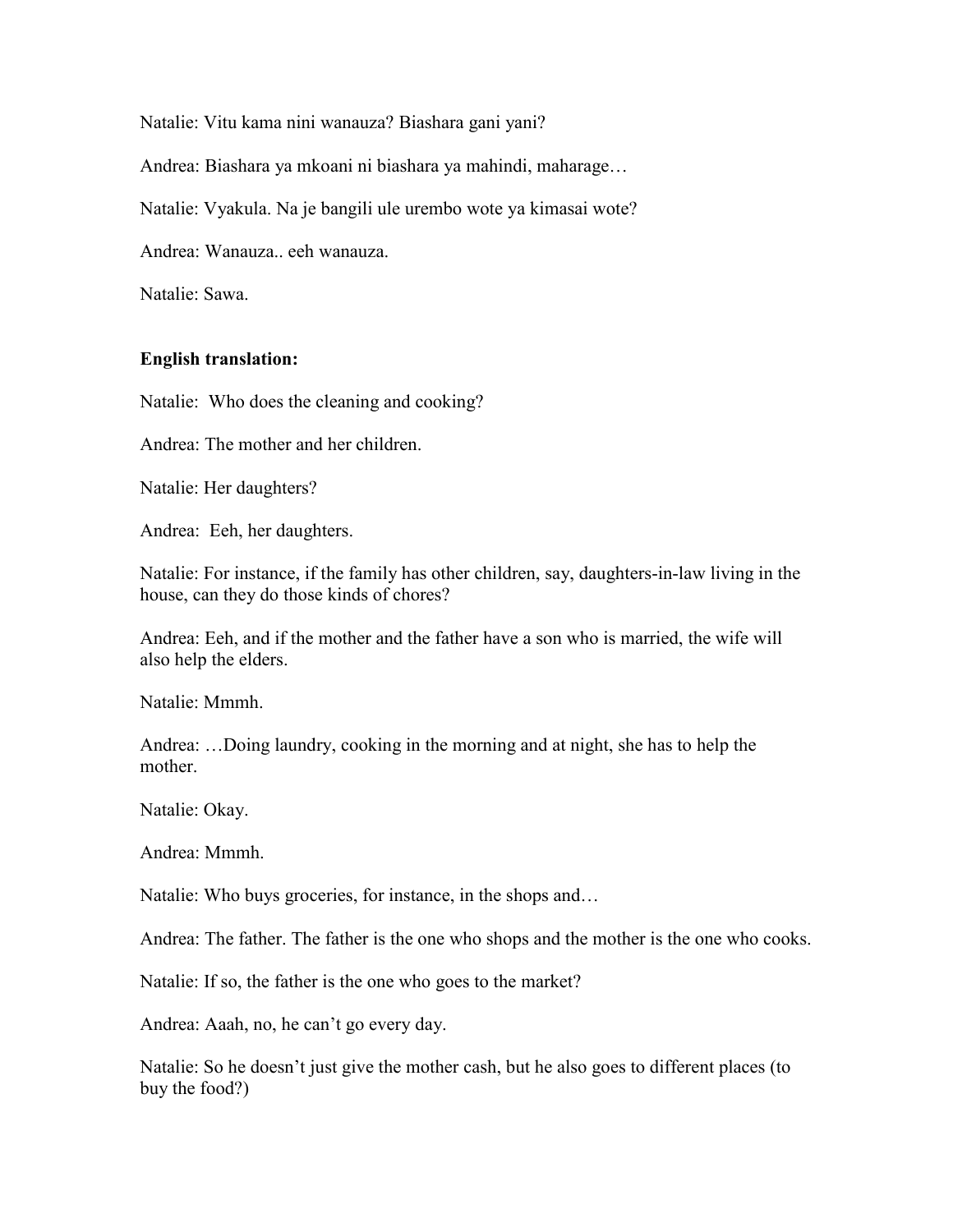Natalie: Vitu kama nini wanauza? Biashara gani yani?

Andrea: Biashara ya mkoani ni biashara ya mahindi, maharage…

Natalie: Vyakula. Na je bangili ule urembo wote ya kimasai wote?

Andrea: Wanauza.. eeh wanauza.

Natalie: Sawa.

## English translation:

Natalie: Who does the cleaning and cooking?

Andrea: The mother and her children.

Natalie: Her daughters?

Andrea: Eeh, her daughters.

Natalie: For instance, if the family has other children, say, daughters-in-law living in the house, can they do those kinds of chores?

Andrea: Eeh, and if the mother and the father have a son who is married, the wife will also help the elders.

Natalie: Mmmh.

Andrea: …Doing laundry, cooking in the morning and at night, she has to help the mother.

Natalie: Okay.

Andrea: Mmmh.

Natalie: Who buys groceries, for instance, in the shops and…

Andrea: The father. The father is the one who shops and the mother is the one who cooks.

Natalie: If so, the father is the one who goes to the market?

Andrea: Aaah, no, he can't go every day.

Natalie: So he doesn't just give the mother cash, but he also goes to different places (to buy the food?)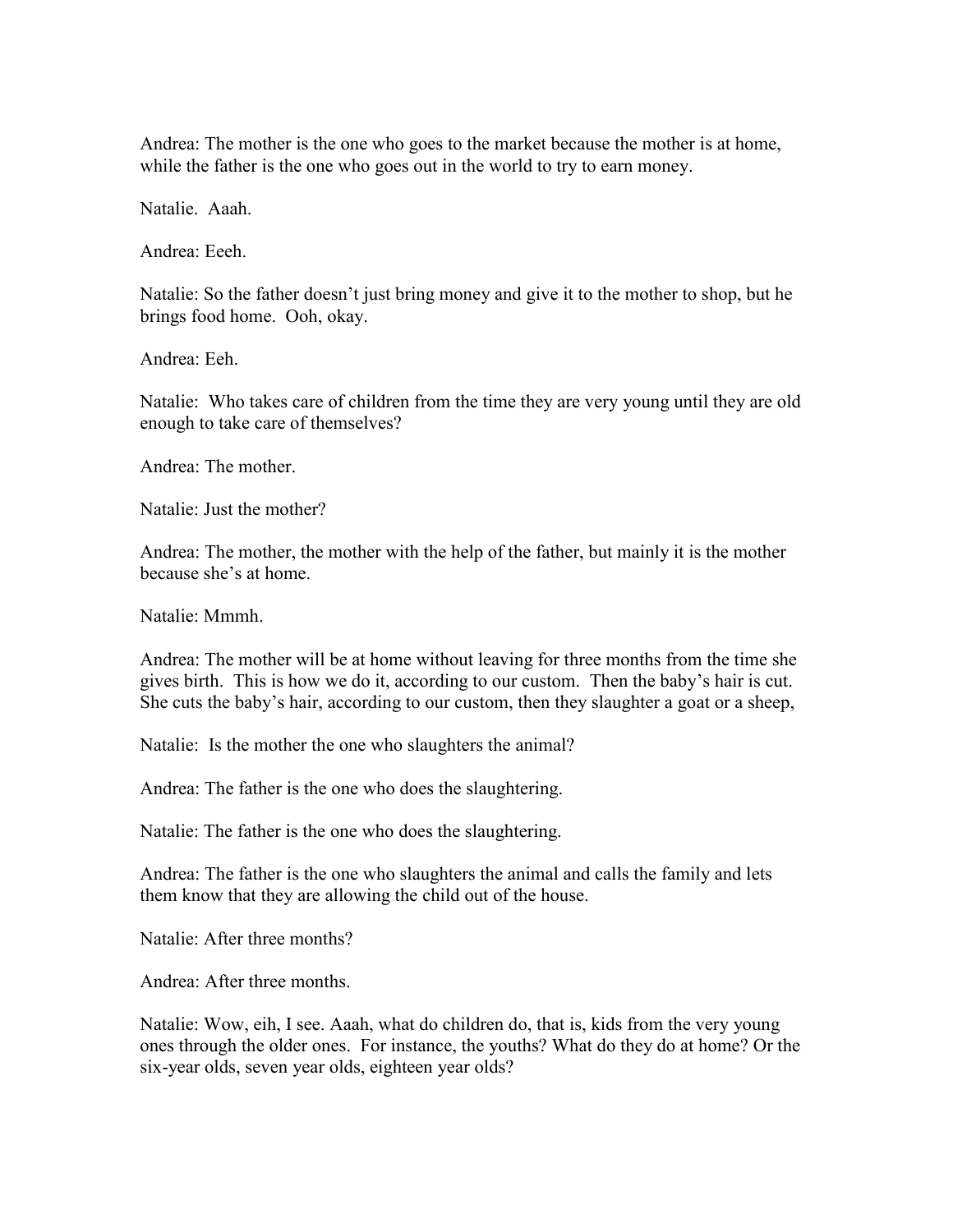Andrea: The mother is the one who goes to the market because the mother is at home, while the father is the one who goes out in the world to try to earn money.

Natalie. Aaah.

Andrea: Eeeh.

Natalie: So the father doesn't just bring money and give it to the mother to shop, but he brings food home. Ooh, okay.

Andrea: Eeh.

Natalie: Who takes care of children from the time they are very young until they are old enough to take care of themselves?

Andrea: The mother.

Natalie: Just the mother?

Andrea: The mother, the mother with the help of the father, but mainly it is the mother because she's at home.

Natalie: Mmmh.

Andrea: The mother will be at home without leaving for three months from the time she gives birth. This is how we do it, according to our custom. Then the baby's hair is cut. She cuts the baby's hair, according to our custom, then they slaughter a goat or a sheep,

Natalie: Is the mother the one who slaughters the animal?

Andrea: The father is the one who does the slaughtering.

Natalie: The father is the one who does the slaughtering.

Andrea: The father is the one who slaughters the animal and calls the family and lets them know that they are allowing the child out of the house.

Natalie: After three months?

Andrea: After three months.

Natalie: Wow, eih, I see. Aaah, what do children do, that is, kids from the very young ones through the older ones. For instance, the youths? What do they do at home? Or the six-year olds, seven year olds, eighteen year olds?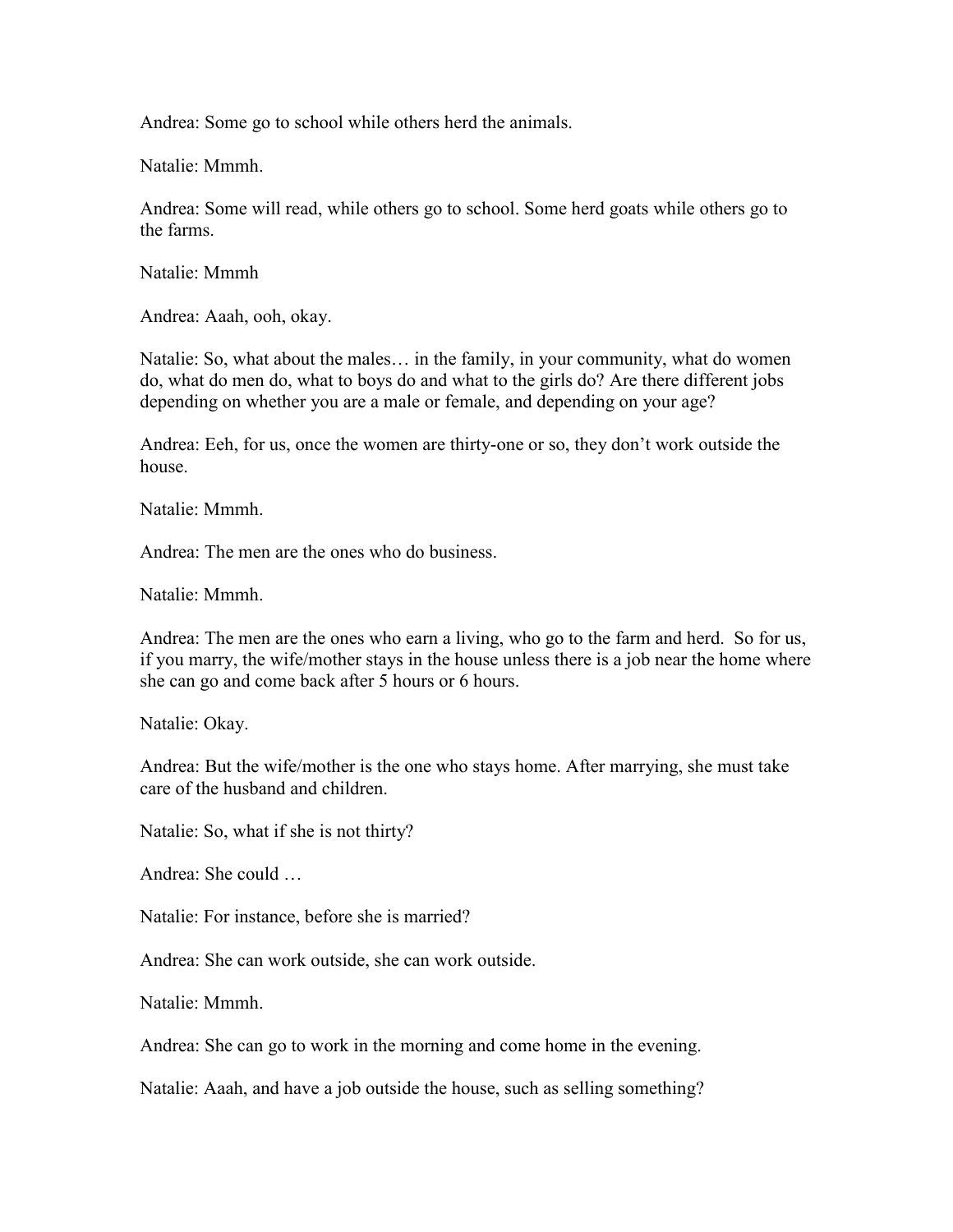Andrea: Some go to school while others herd the animals.

Natalie: Mmmh.

Andrea: Some will read, while others go to school. Some herd goats while others go to the farms.

Natalie: Mmmh

Andrea: Aaah, ooh, okay.

Natalie: So, what about the males… in the family, in your community, what do women do, what do men do, what to boys do and what to the girls do? Are there different jobs depending on whether you are a male or female, and depending on your age?

Andrea: Eeh, for us, once the women are thirty-one or so, they don't work outside the house.

Natalie: Mmmh.

Andrea: The men are the ones who do business.

Natalie: Mmmh.

Andrea: The men are the ones who earn a living, who go to the farm and herd. So for us, if you marry, the wife/mother stays in the house unless there is a job near the home where she can go and come back after 5 hours or 6 hours.

Natalie: Okay.

Andrea: But the wife/mother is the one who stays home. After marrying, she must take care of the husband and children.

Natalie: So, what if she is not thirty?

Andrea: She could …

Natalie: For instance, before she is married?

Andrea: She can work outside, she can work outside.

Natalie: Mmmh.

Andrea: She can go to work in the morning and come home in the evening.

Natalie: Aaah, and have a job outside the house, such as selling something?